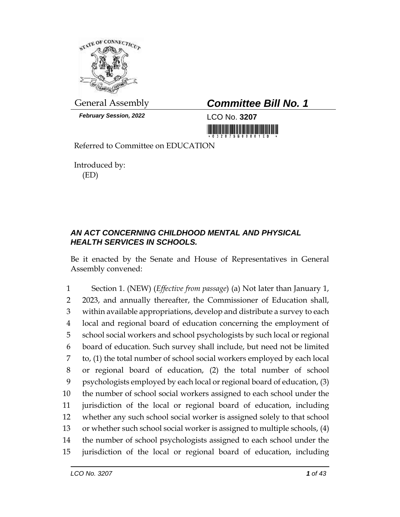

*February Session, 2022* LCO No. **3207**

## General Assembly *Committee Bill No. 1*

<u> 1999 - Johann Maria Baratta, m</u>

Referred to Committee on EDUCATION

Introduced by: (ED)

## *AN ACT CONCERNING CHILDHOOD MENTAL AND PHYSICAL HEALTH SERVICES IN SCHOOLS.*

Be it enacted by the Senate and House of Representatives in General Assembly convened:

 Section 1. (NEW) (*Effective from passage*) (a) Not later than January 1, 2023, and annually thereafter, the Commissioner of Education shall, within available appropriations, develop and distribute a survey to each local and regional board of education concerning the employment of school social workers and school psychologists by such local or regional board of education. Such survey shall include, but need not be limited to, (1) the total number of school social workers employed by each local or regional board of education, (2) the total number of school psychologists employed by each local or regional board of education, (3) the number of school social workers assigned to each school under the jurisdiction of the local or regional board of education, including whether any such school social worker is assigned solely to that school or whether such school social worker is assigned to multiple schools, (4) the number of school psychologists assigned to each school under the jurisdiction of the local or regional board of education, including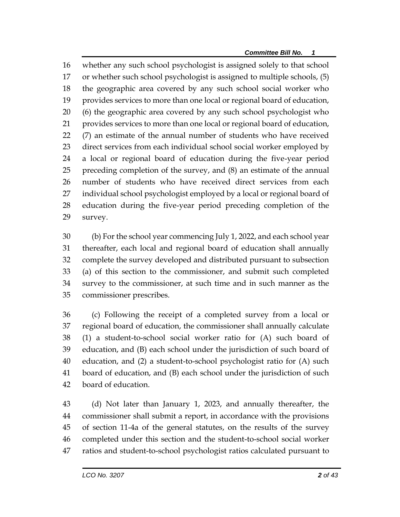whether any such school psychologist is assigned solely to that school or whether such school psychologist is assigned to multiple schools, (5) the geographic area covered by any such school social worker who provides services to more than one local or regional board of education, (6) the geographic area covered by any such school psychologist who provides services to more than one local or regional board of education, (7) an estimate of the annual number of students who have received direct services from each individual school social worker employed by a local or regional board of education during the five-year period preceding completion of the survey, and (8) an estimate of the annual number of students who have received direct services from each individual school psychologist employed by a local or regional board of education during the five-year period preceding completion of the survey.

 (b) For the school year commencing July 1, 2022, and each school year thereafter, each local and regional board of education shall annually complete the survey developed and distributed pursuant to subsection (a) of this section to the commissioner, and submit such completed survey to the commissioner, at such time and in such manner as the commissioner prescribes.

 (c) Following the receipt of a completed survey from a local or regional board of education, the commissioner shall annually calculate (1) a student-to-school social worker ratio for (A) such board of education, and (B) each school under the jurisdiction of such board of education, and (2) a student-to-school psychologist ratio for (A) such board of education, and (B) each school under the jurisdiction of such board of education.

 (d) Not later than January 1, 2023, and annually thereafter, the commissioner shall submit a report, in accordance with the provisions of section 11-4a of the general statutes, on the results of the survey completed under this section and the student-to-school social worker ratios and student-to-school psychologist ratios calculated pursuant to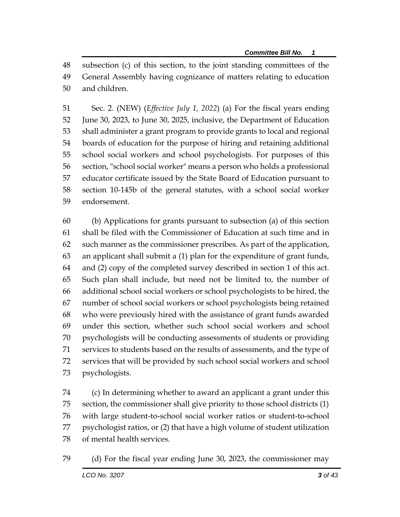subsection (c) of this section, to the joint standing committees of the General Assembly having cognizance of matters relating to education and children.

 Sec. 2. (NEW) (*Effective July 1, 2022*) (a) For the fiscal years ending June 30, 2023, to June 30, 2025, inclusive, the Department of Education shall administer a grant program to provide grants to local and regional boards of education for the purpose of hiring and retaining additional school social workers and school psychologists. For purposes of this section, "school social worker" means a person who holds a professional educator certificate issued by the State Board of Education pursuant to section 10-145b of the general statutes, with a school social worker endorsement.

 (b) Applications for grants pursuant to subsection (a) of this section shall be filed with the Commissioner of Education at such time and in such manner as the commissioner prescribes. As part of the application, an applicant shall submit a (1) plan for the expenditure of grant funds, and (2) copy of the completed survey described in section 1 of this act. Such plan shall include, but need not be limited to, the number of additional school social workers or school psychologists to be hired, the number of school social workers or school psychologists being retained who were previously hired with the assistance of grant funds awarded under this section, whether such school social workers and school psychologists will be conducting assessments of students or providing services to students based on the results of assessments, and the type of services that will be provided by such school social workers and school psychologists.

 (c) In determining whether to award an applicant a grant under this section, the commissioner shall give priority to those school districts (1) with large student-to-school social worker ratios or student-to-school psychologist ratios, or (2) that have a high volume of student utilization of mental health services.

(d) For the fiscal year ending June 30, 2023, the commissioner may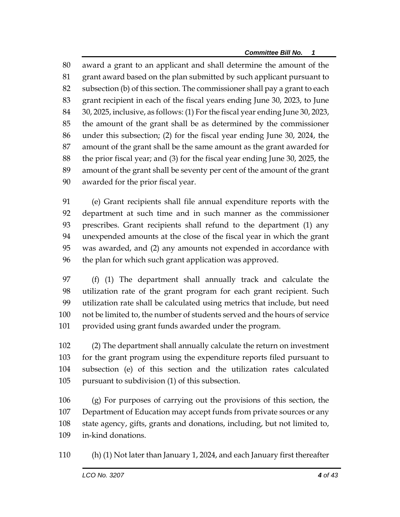award a grant to an applicant and shall determine the amount of the grant award based on the plan submitted by such applicant pursuant to subsection (b) of this section. The commissioner shall pay a grant to each grant recipient in each of the fiscal years ending June 30, 2023, to June 30, 2025, inclusive, as follows: (1) For the fiscal year ending June 30, 2023, the amount of the grant shall be as determined by the commissioner under this subsection; (2) for the fiscal year ending June 30, 2024, the amount of the grant shall be the same amount as the grant awarded for the prior fiscal year; and (3) for the fiscal year ending June 30, 2025, the amount of the grant shall be seventy per cent of the amount of the grant awarded for the prior fiscal year.

 (e) Grant recipients shall file annual expenditure reports with the department at such time and in such manner as the commissioner prescribes. Grant recipients shall refund to the department (1) any unexpended amounts at the close of the fiscal year in which the grant was awarded, and (2) any amounts not expended in accordance with the plan for which such grant application was approved.

 (f) (1) The department shall annually track and calculate the utilization rate of the grant program for each grant recipient. Such utilization rate shall be calculated using metrics that include, but need not be limited to, the number of students served and the hours of service provided using grant funds awarded under the program.

 (2) The department shall annually calculate the return on investment for the grant program using the expenditure reports filed pursuant to subsection (e) of this section and the utilization rates calculated pursuant to subdivision (1) of this subsection.

 (g) For purposes of carrying out the provisions of this section, the Department of Education may accept funds from private sources or any state agency, gifts, grants and donations, including, but not limited to, in-kind donations.

(h) (1) Not later than January 1, 2024, and each January first thereafter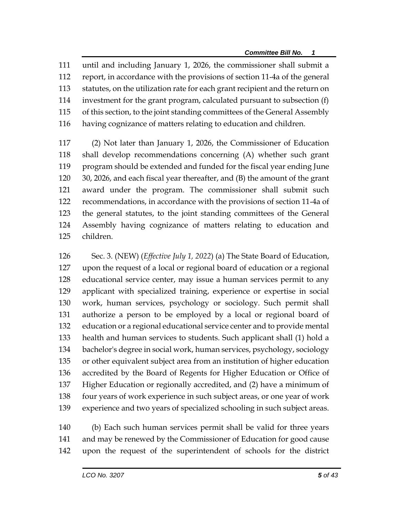until and including January 1, 2026, the commissioner shall submit a report, in accordance with the provisions of section 11-4a of the general statutes, on the utilization rate for each grant recipient and the return on investment for the grant program, calculated pursuant to subsection (f) of this section, to the joint standing committees of the General Assembly having cognizance of matters relating to education and children.

 (2) Not later than January 1, 2026, the Commissioner of Education shall develop recommendations concerning (A) whether such grant program should be extended and funded for the fiscal year ending June 30, 2026, and each fiscal year thereafter, and (B) the amount of the grant award under the program. The commissioner shall submit such recommendations, in accordance with the provisions of section 11-4a of the general statutes, to the joint standing committees of the General Assembly having cognizance of matters relating to education and children.

 Sec. 3. (NEW) (*Effective July 1, 2022*) (a) The State Board of Education, upon the request of a local or regional board of education or a regional educational service center, may issue a human services permit to any applicant with specialized training, experience or expertise in social work, human services, psychology or sociology. Such permit shall authorize a person to be employed by a local or regional board of education or a regional educational service center and to provide mental health and human services to students. Such applicant shall (1) hold a bachelor's degree in social work, human services, psychology, sociology or other equivalent subject area from an institution of higher education accredited by the Board of Regents for Higher Education or Office of Higher Education or regionally accredited, and (2) have a minimum of four years of work experience in such subject areas, or one year of work experience and two years of specialized schooling in such subject areas.

 (b) Each such human services permit shall be valid for three years and may be renewed by the Commissioner of Education for good cause upon the request of the superintendent of schools for the district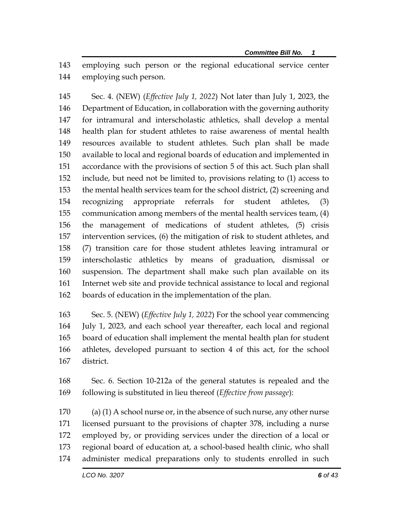employing such person or the regional educational service center employing such person.

 Sec. 4. (NEW) (*Effective July 1, 2022*) Not later than July 1, 2023, the Department of Education, in collaboration with the governing authority for intramural and interscholastic athletics, shall develop a mental health plan for student athletes to raise awareness of mental health resources available to student athletes. Such plan shall be made available to local and regional boards of education and implemented in accordance with the provisions of section 5 of this act. Such plan shall include, but need not be limited to, provisions relating to (1) access to the mental health services team for the school district, (2) screening and recognizing appropriate referrals for student athletes, (3) communication among members of the mental health services team, (4) the management of medications of student athletes, (5) crisis intervention services, (6) the mitigation of risk to student athletes, and (7) transition care for those student athletes leaving intramural or interscholastic athletics by means of graduation, dismissal or suspension. The department shall make such plan available on its Internet web site and provide technical assistance to local and regional boards of education in the implementation of the plan.

 Sec. 5. (NEW) (*Effective July 1, 2022*) For the school year commencing July 1, 2023, and each school year thereafter, each local and regional board of education shall implement the mental health plan for student athletes, developed pursuant to section 4 of this act, for the school district.

 Sec. 6. Section 10-212a of the general statutes is repealed and the following is substituted in lieu thereof (*Effective from passage*):

170 (a) (1) A school nurse or, in the absence of such nurse, any other nurse licensed pursuant to the provisions of chapter 378, including a nurse employed by, or providing services under the direction of a local or regional board of education at, a school-based health clinic, who shall administer medical preparations only to students enrolled in such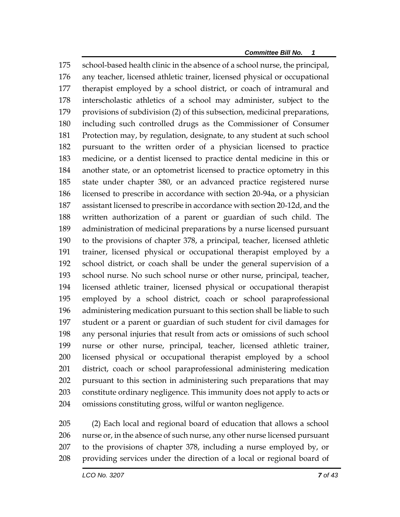school-based health clinic in the absence of a school nurse, the principal, any teacher, licensed athletic trainer, licensed physical or occupational therapist employed by a school district, or coach of intramural and interscholastic athletics of a school may administer, subject to the provisions of subdivision (2) of this subsection, medicinal preparations, including such controlled drugs as the Commissioner of Consumer Protection may, by regulation, designate, to any student at such school pursuant to the written order of a physician licensed to practice medicine, or a dentist licensed to practice dental medicine in this or another state, or an optometrist licensed to practice optometry in this state under chapter 380, or an advanced practice registered nurse licensed to prescribe in accordance with section 20-94a, or a physician assistant licensed to prescribe in accordance with section 20-12d, and the written authorization of a parent or guardian of such child. The administration of medicinal preparations by a nurse licensed pursuant to the provisions of chapter 378, a principal, teacher, licensed athletic trainer, licensed physical or occupational therapist employed by a school district, or coach shall be under the general supervision of a school nurse. No such school nurse or other nurse, principal, teacher, licensed athletic trainer, licensed physical or occupational therapist employed by a school district, coach or school paraprofessional administering medication pursuant to this section shall be liable to such student or a parent or guardian of such student for civil damages for any personal injuries that result from acts or omissions of such school nurse or other nurse, principal, teacher, licensed athletic trainer, licensed physical or occupational therapist employed by a school district, coach or school paraprofessional administering medication pursuant to this section in administering such preparations that may constitute ordinary negligence. This immunity does not apply to acts or omissions constituting gross, wilful or wanton negligence.

 (2) Each local and regional board of education that allows a school nurse or, in the absence of such nurse, any other nurse licensed pursuant to the provisions of chapter 378, including a nurse employed by, or providing services under the direction of a local or regional board of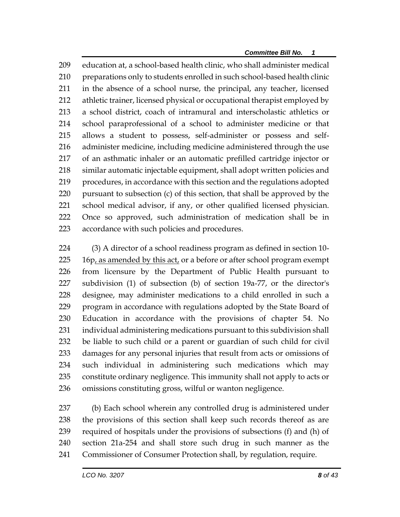education at, a school-based health clinic, who shall administer medical preparations only to students enrolled in such school-based health clinic in the absence of a school nurse, the principal, any teacher, licensed athletic trainer, licensed physical or occupational therapist employed by a school district, coach of intramural and interscholastic athletics or school paraprofessional of a school to administer medicine or that allows a student to possess, self-administer or possess and self- administer medicine, including medicine administered through the use of an asthmatic inhaler or an automatic prefilled cartridge injector or similar automatic injectable equipment, shall adopt written policies and procedures, in accordance with this section and the regulations adopted pursuant to subsection (c) of this section, that shall be approved by the school medical advisor, if any, or other qualified licensed physician. Once so approved, such administration of medication shall be in accordance with such policies and procedures.

 (3) A director of a school readiness program as defined in section 10- 225 16p, as amended by this act, or a before or after school program exempt from licensure by the Department of Public Health pursuant to subdivision (1) of subsection (b) of section 19a-77, or the director's designee, may administer medications to a child enrolled in such a program in accordance with regulations adopted by the State Board of Education in accordance with the provisions of chapter 54. No individual administering medications pursuant to this subdivision shall be liable to such child or a parent or guardian of such child for civil damages for any personal injuries that result from acts or omissions of such individual in administering such medications which may constitute ordinary negligence. This immunity shall not apply to acts or omissions constituting gross, wilful or wanton negligence.

 (b) Each school wherein any controlled drug is administered under the provisions of this section shall keep such records thereof as are required of hospitals under the provisions of subsections (f) and (h) of section 21a-254 and shall store such drug in such manner as the Commissioner of Consumer Protection shall, by regulation, require.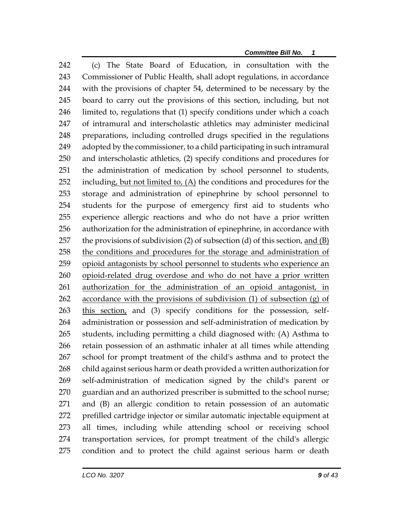(c) The State Board of Education, in consultation with the Commissioner of Public Health, shall adopt regulations, in accordance with the provisions of chapter 54, determined to be necessary by the board to carry out the provisions of this section, including, but not limited to, regulations that (1) specify conditions under which a coach of intramural and interscholastic athletics may administer medicinal preparations, including controlled drugs specified in the regulations adopted by the commissioner, to a child participating in such intramural and interscholastic athletics, (2) specify conditions and procedures for the administration of medication by school personnel to students, 252 including, but not limited to,  $(A)$  the conditions and procedures for the storage and administration of epinephrine by school personnel to students for the purpose of emergency first aid to students who experience allergic reactions and who do not have a prior written authorization for the administration of epinephrine, in accordance with the provisions of subdivision (2) of subsection (d) of this section, and (B) the conditions and procedures for the storage and administration of opioid antagonists by school personnel to students who experience an 260 opioid-related drug overdose and who do not have a prior written authorization for the administration of an opioid antagonist, in 262 accordance with the provisions of subdivision  $(1)$  of subsection  $(g)$  of 263 this section, and (3) specify conditions for the possession, self- administration or possession and self-administration of medication by students, including permitting a child diagnosed with: (A) Asthma to retain possession of an asthmatic inhaler at all times while attending school for prompt treatment of the child's asthma and to protect the child against serious harm or death provided a written authorization for self-administration of medication signed by the child's parent or 270 guardian and an authorized prescriber is submitted to the school nurse; and (B) an allergic condition to retain possession of an automatic prefilled cartridge injector or similar automatic injectable equipment at all times, including while attending school or receiving school transportation services, for prompt treatment of the child's allergic condition and to protect the child against serious harm or death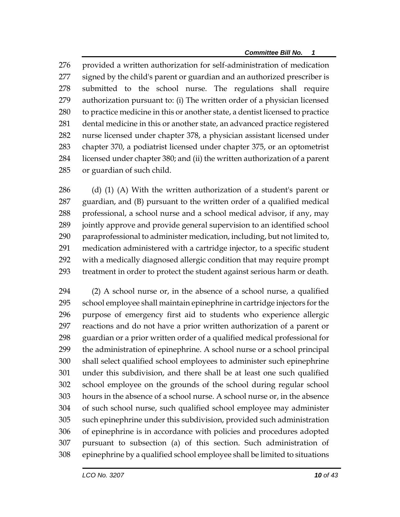provided a written authorization for self-administration of medication signed by the child's parent or guardian and an authorized prescriber is submitted to the school nurse. The regulations shall require authorization pursuant to: (i) The written order of a physician licensed to practice medicine in this or another state, a dentist licensed to practice dental medicine in this or another state, an advanced practice registered nurse licensed under chapter 378, a physician assistant licensed under chapter 370, a podiatrist licensed under chapter 375, or an optometrist licensed under chapter 380; and (ii) the written authorization of a parent or guardian of such child.

286 (d) (1) (A) With the written authorization of a student's parent or guardian, and (B) pursuant to the written order of a qualified medical professional, a school nurse and a school medical advisor, if any, may jointly approve and provide general supervision to an identified school paraprofessional to administer medication, including, but not limited to, medication administered with a cartridge injector, to a specific student with a medically diagnosed allergic condition that may require prompt treatment in order to protect the student against serious harm or death.

 (2) A school nurse or, in the absence of a school nurse, a qualified school employee shall maintain epinephrine in cartridge injectors for the purpose of emergency first aid to students who experience allergic reactions and do not have a prior written authorization of a parent or guardian or a prior written order of a qualified medical professional for the administration of epinephrine. A school nurse or a school principal shall select qualified school employees to administer such epinephrine under this subdivision, and there shall be at least one such qualified school employee on the grounds of the school during regular school hours in the absence of a school nurse. A school nurse or, in the absence of such school nurse, such qualified school employee may administer such epinephrine under this subdivision, provided such administration of epinephrine is in accordance with policies and procedures adopted pursuant to subsection (a) of this section. Such administration of epinephrine by a qualified school employee shall be limited to situations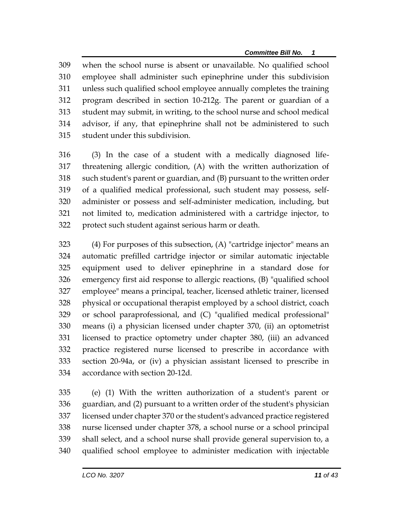when the school nurse is absent or unavailable. No qualified school employee shall administer such epinephrine under this subdivision unless such qualified school employee annually completes the training program described in section 10-212g. The parent or guardian of a student may submit, in writing, to the school nurse and school medical advisor, if any, that epinephrine shall not be administered to such student under this subdivision.

 (3) In the case of a student with a medically diagnosed life- threatening allergic condition, (A) with the written authorization of such student's parent or guardian, and (B) pursuant to the written order of a qualified medical professional, such student may possess, self- administer or possess and self-administer medication, including, but not limited to, medication administered with a cartridge injector, to protect such student against serious harm or death.

 (4) For purposes of this subsection, (A) "cartridge injector" means an automatic prefilled cartridge injector or similar automatic injectable equipment used to deliver epinephrine in a standard dose for emergency first aid response to allergic reactions, (B) "qualified school employee" means a principal, teacher, licensed athletic trainer, licensed physical or occupational therapist employed by a school district, coach or school paraprofessional, and (C) "qualified medical professional" means (i) a physician licensed under chapter 370, (ii) an optometrist licensed to practice optometry under chapter 380, (iii) an advanced practice registered nurse licensed to prescribe in accordance with section 20-94a, or (iv) a physician assistant licensed to prescribe in accordance with section 20-12d.

 (e) (1) With the written authorization of a student's parent or guardian, and (2) pursuant to a written order of the student's physician licensed under chapter 370 or the student's advanced practice registered nurse licensed under chapter 378, a school nurse or a school principal shall select, and a school nurse shall provide general supervision to, a qualified school employee to administer medication with injectable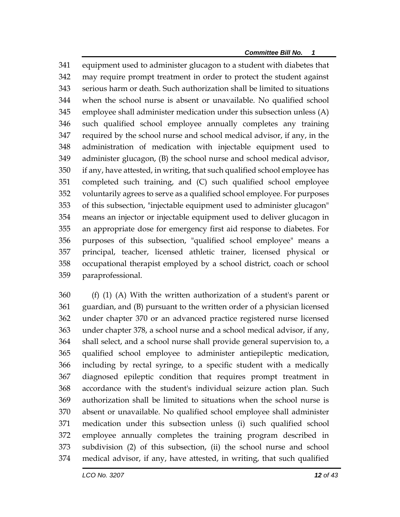equipment used to administer glucagon to a student with diabetes that may require prompt treatment in order to protect the student against serious harm or death. Such authorization shall be limited to situations when the school nurse is absent or unavailable. No qualified school employee shall administer medication under this subsection unless (A) such qualified school employee annually completes any training required by the school nurse and school medical advisor, if any, in the administration of medication with injectable equipment used to administer glucagon, (B) the school nurse and school medical advisor, if any, have attested, in writing, that such qualified school employee has completed such training, and (C) such qualified school employee voluntarily agrees to serve as a qualified school employee. For purposes of this subsection, "injectable equipment used to administer glucagon" means an injector or injectable equipment used to deliver glucagon in an appropriate dose for emergency first aid response to diabetes. For purposes of this subsection, "qualified school employee" means a principal, teacher, licensed athletic trainer, licensed physical or occupational therapist employed by a school district, coach or school paraprofessional.

 (f) (1) (A) With the written authorization of a student's parent or guardian, and (B) pursuant to the written order of a physician licensed under chapter 370 or an advanced practice registered nurse licensed under chapter 378, a school nurse and a school medical advisor, if any, shall select, and a school nurse shall provide general supervision to, a qualified school employee to administer antiepileptic medication, including by rectal syringe, to a specific student with a medically diagnosed epileptic condition that requires prompt treatment in accordance with the student's individual seizure action plan. Such authorization shall be limited to situations when the school nurse is absent or unavailable. No qualified school employee shall administer medication under this subsection unless (i) such qualified school employee annually completes the training program described in subdivision (2) of this subsection, (ii) the school nurse and school medical advisor, if any, have attested, in writing, that such qualified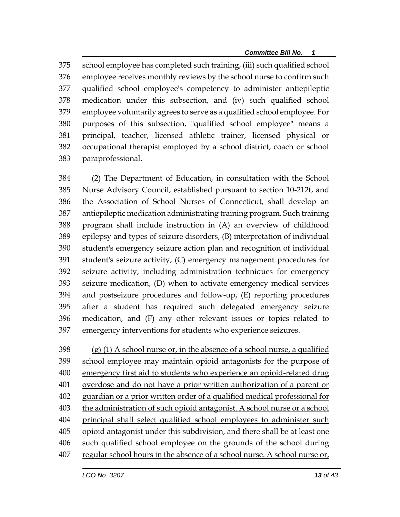school employee has completed such training, (iii) such qualified school employee receives monthly reviews by the school nurse to confirm such qualified school employee's competency to administer antiepileptic medication under this subsection, and (iv) such qualified school employee voluntarily agrees to serve as a qualified school employee. For purposes of this subsection, "qualified school employee" means a principal, teacher, licensed athletic trainer, licensed physical or occupational therapist employed by a school district, coach or school paraprofessional.

 (2) The Department of Education, in consultation with the School Nurse Advisory Council, established pursuant to section 10-212f, and the Association of School Nurses of Connecticut, shall develop an antiepileptic medication administrating training program. Such training program shall include instruction in (A) an overview of childhood epilepsy and types of seizure disorders, (B) interpretation of individual student's emergency seizure action plan and recognition of individual student's seizure activity, (C) emergency management procedures for seizure activity, including administration techniques for emergency seizure medication, (D) when to activate emergency medical services and postseizure procedures and follow-up, (E) reporting procedures after a student has required such delegated emergency seizure medication, and (F) any other relevant issues or topics related to emergency interventions for students who experience seizures.

 (g) (1) A school nurse or, in the absence of a school nurse, a qualified school employee may maintain opioid antagonists for the purpose of emergency first aid to students who experience an opioid-related drug overdose and do not have a prior written authorization of a parent or guardian or a prior written order of a qualified medical professional for the administration of such opioid antagonist. A school nurse or a school principal shall select qualified school employees to administer such opioid antagonist under this subdivision, and there shall be at least one such qualified school employee on the grounds of the school during regular school hours in the absence of a school nurse. A school nurse or,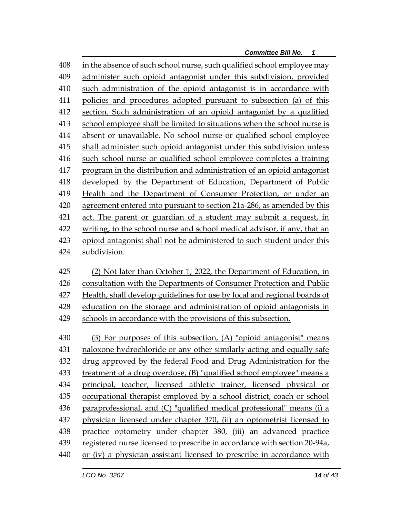in the absence of such school nurse, such qualified school employee may administer such opioid antagonist under this subdivision, provided such administration of the opioid antagonist is in accordance with policies and procedures adopted pursuant to subsection (a) of this section. Such administration of an opioid antagonist by a qualified school employee shall be limited to situations when the school nurse is absent or unavailable. No school nurse or qualified school employee shall administer such opioid antagonist under this subdivision unless such school nurse or qualified school employee completes a training program in the distribution and administration of an opioid antagonist developed by the Department of Education, Department of Public Health and the Department of Consumer Protection, or under an agreement entered into pursuant to section 21a-286, as amended by this act. The parent or guardian of a student may submit a request, in writing, to the school nurse and school medical advisor, if any, that an opioid antagonist shall not be administered to such student under this subdivision.

 (2) Not later than October 1, 2022, the Department of Education, in consultation with the Departments of Consumer Protection and Public Health, shall develop guidelines for use by local and regional boards of education on the storage and administration of opioid antagonists in schools in accordance with the provisions of this subsection.

 (3) For purposes of this subsection, (A) "opioid antagonist" means naloxone hydrochloride or any other similarly acting and equally safe drug approved by the federal Food and Drug Administration for the treatment of a drug overdose, (B) "qualified school employee" means a principal, teacher, licensed athletic trainer, licensed physical or occupational therapist employed by a school district, coach or school paraprofessional, and (C) "qualified medical professional" means (i) a physician licensed under chapter 370, (ii) an optometrist licensed to practice optometry under chapter 380, (iii) an advanced practice 439 registered nurse licensed to prescribe in accordance with section 20-94a, or (iv) a physician assistant licensed to prescribe in accordance with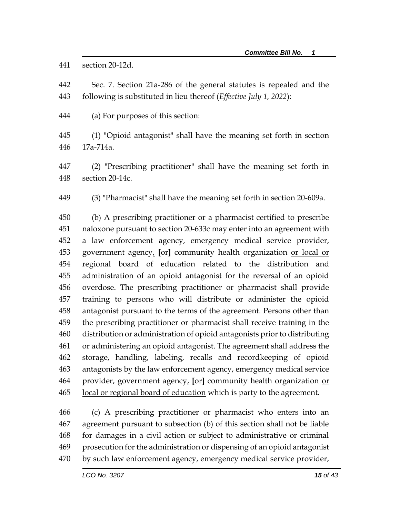441 section 20-12d.

 Sec. 7. Section 21a-286 of the general statutes is repealed and the following is substituted in lieu thereof (*Effective July 1, 2022*):

(a) For purposes of this section:

 (1) "Opioid antagonist" shall have the meaning set forth in section 17a-714a.

 (2) "Prescribing practitioner" shall have the meaning set forth in section 20-14c.

(3) "Pharmacist" shall have the meaning set forth in section 20-609a.

 (b) A prescribing practitioner or a pharmacist certified to prescribe naloxone pursuant to section 20-633c may enter into an agreement with a law enforcement agency, emergency medical service provider, government agency, **[**or**]** community health organization or local or regional board of education related to the distribution and administration of an opioid antagonist for the reversal of an opioid overdose. The prescribing practitioner or pharmacist shall provide training to persons who will distribute or administer the opioid antagonist pursuant to the terms of the agreement. Persons other than the prescribing practitioner or pharmacist shall receive training in the distribution or administration of opioid antagonists prior to distributing or administering an opioid antagonist. The agreement shall address the storage, handling, labeling, recalls and recordkeeping of opioid antagonists by the law enforcement agency, emergency medical service provider, government agency, **[**or**]** community health organization or local or regional board of education which is party to the agreement.

 (c) A prescribing practitioner or pharmacist who enters into an agreement pursuant to subsection (b) of this section shall not be liable for damages in a civil action or subject to administrative or criminal prosecution for the administration or dispensing of an opioid antagonist by such law enforcement agency, emergency medical service provider,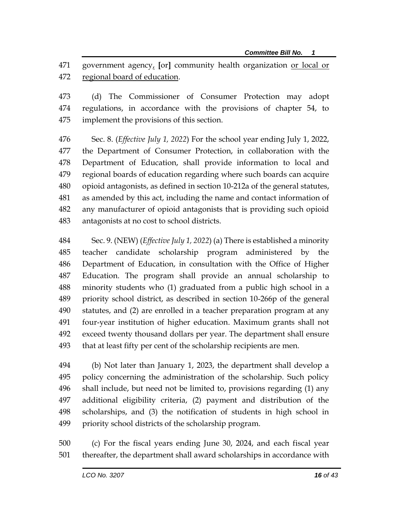government agency, **[**or**]** community health organization or local or 472 regional board of education.

 (d) The Commissioner of Consumer Protection may adopt regulations, in accordance with the provisions of chapter 54, to implement the provisions of this section.

 Sec. 8. (*Effective July 1, 2022*) For the school year ending July 1, 2022, the Department of Consumer Protection, in collaboration with the Department of Education, shall provide information to local and regional boards of education regarding where such boards can acquire opioid antagonists, as defined in section 10-212a of the general statutes, as amended by this act, including the name and contact information of any manufacturer of opioid antagonists that is providing such opioid antagonists at no cost to school districts.

 Sec. 9. (NEW) (*Effective July 1, 2022*) (a) There is established a minority teacher candidate scholarship program administered by the Department of Education, in consultation with the Office of Higher Education. The program shall provide an annual scholarship to minority students who (1) graduated from a public high school in a priority school district, as described in section 10-266p of the general statutes, and (2) are enrolled in a teacher preparation program at any four-year institution of higher education. Maximum grants shall not exceed twenty thousand dollars per year. The department shall ensure that at least fifty per cent of the scholarship recipients are men.

 (b) Not later than January 1, 2023, the department shall develop a policy concerning the administration of the scholarship. Such policy shall include, but need not be limited to, provisions regarding (1) any additional eligibility criteria, (2) payment and distribution of the scholarships, and (3) the notification of students in high school in priority school districts of the scholarship program.

 (c) For the fiscal years ending June 30, 2024, and each fiscal year thereafter, the department shall award scholarships in accordance with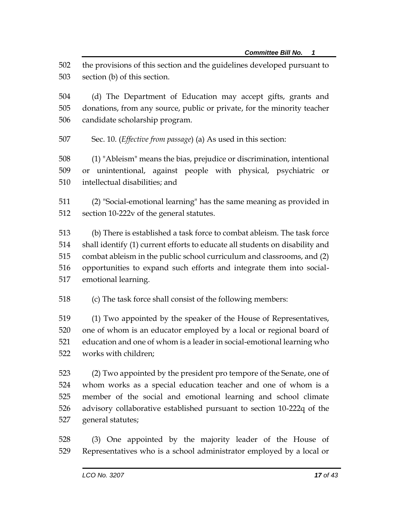the provisions of this section and the guidelines developed pursuant to section (b) of this section.

 (d) The Department of Education may accept gifts, grants and donations, from any source, public or private, for the minority teacher candidate scholarship program.

Sec. 10. (*Effective from passage*) (a) As used in this section:

 (1) "Ableism" means the bias, prejudice or discrimination, intentional or unintentional, against people with physical, psychiatric or intellectual disabilities; and

 (2) "Social-emotional learning" has the same meaning as provided in section 10-222v of the general statutes.

 (b) There is established a task force to combat ableism. The task force shall identify (1) current efforts to educate all students on disability and combat ableism in the public school curriculum and classrooms, and (2) opportunities to expand such efforts and integrate them into social-emotional learning.

(c) The task force shall consist of the following members:

 (1) Two appointed by the speaker of the House of Representatives, one of whom is an educator employed by a local or regional board of education and one of whom is a leader in social-emotional learning who works with children;

 (2) Two appointed by the president pro tempore of the Senate, one of whom works as a special education teacher and one of whom is a member of the social and emotional learning and school climate advisory collaborative established pursuant to section 10-222q of the general statutes;

 (3) One appointed by the majority leader of the House of Representatives who is a school administrator employed by a local or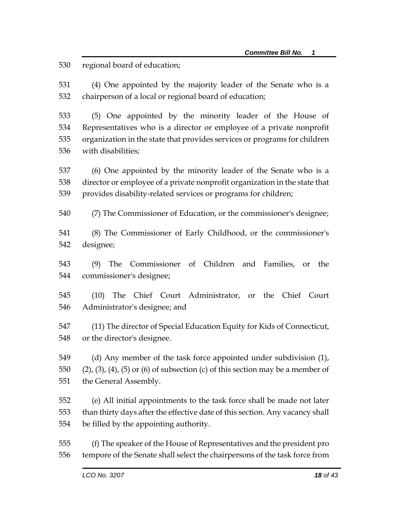regional board of education;

 (4) One appointed by the majority leader of the Senate who is a chairperson of a local or regional board of education;

 (5) One appointed by the minority leader of the House of Representatives who is a director or employee of a private nonprofit organization in the state that provides services or programs for children with disabilities;

 (6) One appointed by the minority leader of the Senate who is a director or employee of a private nonprofit organization in the state that provides disability-related services or programs for children;

- (7) The Commissioner of Education, or the commissioner's designee;
- (8) The Commissioner of Early Childhood, or the commissioner's designee;
- (9) The Commissioner of Children and Families, or the commissioner's designee;
- (10) The Chief Court Administrator, or the Chief Court Administrator's designee; and
- (11) The director of Special Education Equity for Kids of Connecticut, or the director's designee.

 (d) Any member of the task force appointed under subdivision (1), 550 (2), (3), (4), (5) or (6) of subsection (c) of this section may be a member of the General Assembly.

 (e) All initial appointments to the task force shall be made not later than thirty days after the effective date of this section. Any vacancy shall be filled by the appointing authority.

 (f) The speaker of the House of Representatives and the president pro tempore of the Senate shall select the chairpersons of the task force from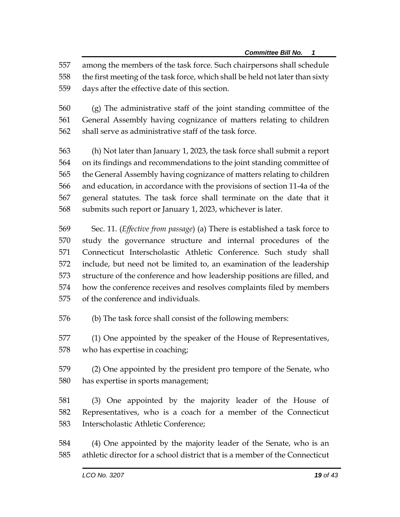among the members of the task force. Such chairpersons shall schedule

the first meeting of the task force, which shall be held not later than sixty

days after the effective date of this section.

 (g) The administrative staff of the joint standing committee of the General Assembly having cognizance of matters relating to children shall serve as administrative staff of the task force.

 (h) Not later than January 1, 2023, the task force shall submit a report on its findings and recommendations to the joint standing committee of the General Assembly having cognizance of matters relating to children and education, in accordance with the provisions of section 11-4a of the general statutes. The task force shall terminate on the date that it submits such report or January 1, 2023, whichever is later.

 Sec. 11. (*Effective from passage*) (a) There is established a task force to study the governance structure and internal procedures of the Connecticut Interscholastic Athletic Conference. Such study shall include, but need not be limited to, an examination of the leadership structure of the conference and how leadership positions are filled, and how the conference receives and resolves complaints filed by members of the conference and individuals.

(b) The task force shall consist of the following members:

 (1) One appointed by the speaker of the House of Representatives, who has expertise in coaching;

 (2) One appointed by the president pro tempore of the Senate, who has expertise in sports management;

 (3) One appointed by the majority leader of the House of Representatives, who is a coach for a member of the Connecticut Interscholastic Athletic Conference;

 (4) One appointed by the majority leader of the Senate, who is an athletic director for a school district that is a member of the Connecticut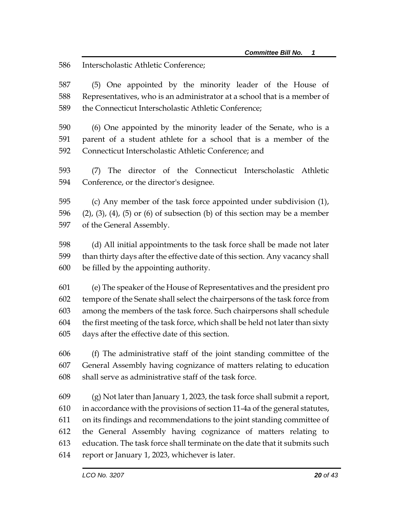Interscholastic Athletic Conference;

 (5) One appointed by the minority leader of the House of Representatives, who is an administrator at a school that is a member of the Connecticut Interscholastic Athletic Conference;

 (6) One appointed by the minority leader of the Senate, who is a parent of a student athlete for a school that is a member of the Connecticut Interscholastic Athletic Conference; and

 (7) The director of the Connecticut Interscholastic Athletic Conference, or the director's designee.

 (c) Any member of the task force appointed under subdivision (1), 596 (2), (3), (4), (5) or (6) of subsection (b) of this section may be a member of the General Assembly.

 (d) All initial appointments to the task force shall be made not later than thirty days after the effective date of this section. Any vacancy shall be filled by the appointing authority.

 (e) The speaker of the House of Representatives and the president pro tempore of the Senate shall select the chairpersons of the task force from among the members of the task force. Such chairpersons shall schedule the first meeting of the task force, which shall be held not later than sixty days after the effective date of this section.

 (f) The administrative staff of the joint standing committee of the General Assembly having cognizance of matters relating to education shall serve as administrative staff of the task force.

 (g) Not later than January 1, 2023, the task force shall submit a report, in accordance with the provisions of section 11-4a of the general statutes, on its findings and recommendations to the joint standing committee of the General Assembly having cognizance of matters relating to education. The task force shall terminate on the date that it submits such report or January 1, 2023, whichever is later.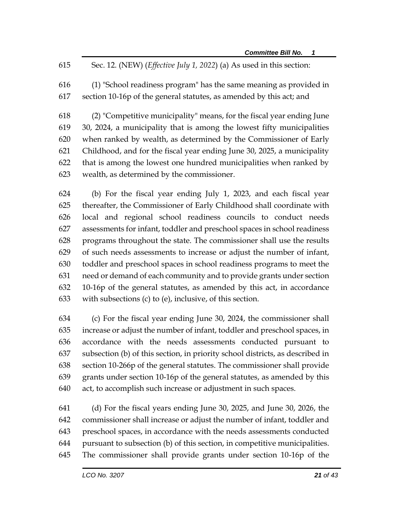- Sec. 12. (NEW) (*Effective July 1, 2022*) (a) As used in this section:
- (1) "School readiness program" has the same meaning as provided in section 10-16p of the general statutes, as amended by this act; and

 (2) "Competitive municipality" means, for the fiscal year ending June 30, 2024, a municipality that is among the lowest fifty municipalities when ranked by wealth, as determined by the Commissioner of Early Childhood, and for the fiscal year ending June 30, 2025, a municipality that is among the lowest one hundred municipalities when ranked by wealth, as determined by the commissioner.

 (b) For the fiscal year ending July 1, 2023, and each fiscal year thereafter, the Commissioner of Early Childhood shall coordinate with local and regional school readiness councils to conduct needs assessments for infant, toddler and preschool spaces in school readiness programs throughout the state. The commissioner shall use the results of such needs assessments to increase or adjust the number of infant, toddler and preschool spaces in school readiness programs to meet the need or demand of each community and to provide grants under section 10-16p of the general statutes, as amended by this act, in accordance with subsections (c) to (e), inclusive, of this section.

 (c) For the fiscal year ending June 30, 2024, the commissioner shall increase or adjust the number of infant, toddler and preschool spaces, in accordance with the needs assessments conducted pursuant to subsection (b) of this section, in priority school districts, as described in section 10-266p of the general statutes. The commissioner shall provide grants under section 10-16p of the general statutes, as amended by this act, to accomplish such increase or adjustment in such spaces.

 (d) For the fiscal years ending June 30, 2025, and June 30, 2026, the commissioner shall increase or adjust the number of infant, toddler and preschool spaces, in accordance with the needs assessments conducted pursuant to subsection (b) of this section, in competitive municipalities. The commissioner shall provide grants under section 10-16p of the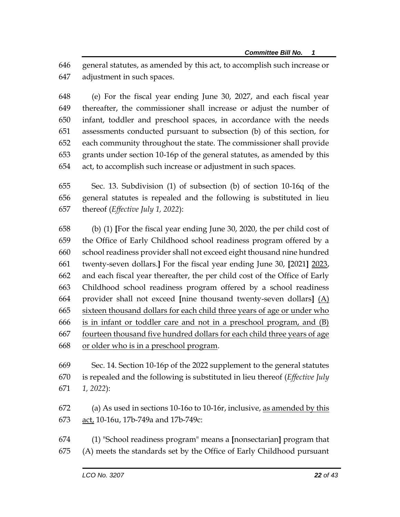general statutes, as amended by this act, to accomplish such increase or adjustment in such spaces.

 (e) For the fiscal year ending June 30, 2027, and each fiscal year thereafter, the commissioner shall increase or adjust the number of infant, toddler and preschool spaces, in accordance with the needs assessments conducted pursuant to subsection (b) of this section, for each community throughout the state. The commissioner shall provide grants under section 10-16p of the general statutes, as amended by this act, to accomplish such increase or adjustment in such spaces.

 Sec. 13. Subdivision (1) of subsection (b) of section 10-16q of the general statutes is repealed and the following is substituted in lieu thereof (*Effective July 1, 2022*):

 (b) (1) **[**For the fiscal year ending June 30, 2020, the per child cost of the Office of Early Childhood school readiness program offered by a school readiness provider shall not exceed eight thousand nine hundred twenty-seven dollars.**]** For the fiscal year ending June 30, **[**2021**]** 2023, and each fiscal year thereafter, the per child cost of the Office of Early Childhood school readiness program offered by a school readiness provider shall not exceed **[**nine thousand twenty-seven dollars**]** (A) sixteen thousand dollars for each child three years of age or under who is in infant or toddler care and not in a preschool program, and (B) fourteen thousand five hundred dollars for each child three years of age or older who is in a preschool program.

 Sec. 14. Section 10-16p of the 2022 supplement to the general statutes is repealed and the following is substituted in lieu thereof (*Effective July 1, 2022*):

 (a) As used in sections 10-16o to 10-16r, inclusive, as amended by this act, 10-16u, 17b-749a and 17b-749c:

 (1) "School readiness program" means a **[**nonsectarian**]** program that (A) meets the standards set by the Office of Early Childhood pursuant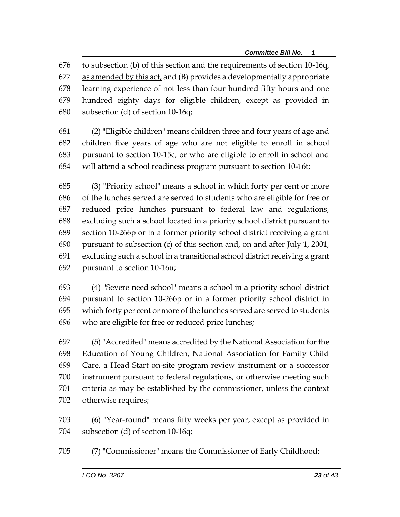to subsection (b) of this section and the requirements of section 10-16q, as amended by this act, and (B) provides a developmentally appropriate learning experience of not less than four hundred fifty hours and one hundred eighty days for eligible children, except as provided in subsection (d) of section 10-16q;

 (2) "Eligible children" means children three and four years of age and children five years of age who are not eligible to enroll in school pursuant to section 10-15c, or who are eligible to enroll in school and will attend a school readiness program pursuant to section 10-16t;

 (3) "Priority school" means a school in which forty per cent or more of the lunches served are served to students who are eligible for free or reduced price lunches pursuant to federal law and regulations, excluding such a school located in a priority school district pursuant to section 10-266p or in a former priority school district receiving a grant pursuant to subsection (c) of this section and, on and after July 1, 2001, excluding such a school in a transitional school district receiving a grant pursuant to section 10-16u;

 (4) "Severe need school" means a school in a priority school district pursuant to section 10-266p or in a former priority school district in which forty per cent or more of the lunches served are served to students who are eligible for free or reduced price lunches;

 (5) "Accredited" means accredited by the National Association for the Education of Young Children, National Association for Family Child Care, a Head Start on-site program review instrument or a successor instrument pursuant to federal regulations, or otherwise meeting such criteria as may be established by the commissioner, unless the context otherwise requires;

 (6) "Year-round" means fifty weeks per year, except as provided in subsection (d) of section 10-16q;

(7) "Commissioner" means the Commissioner of Early Childhood;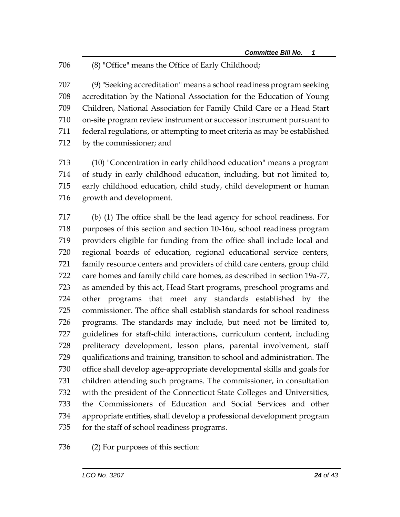## (8) "Office" means the Office of Early Childhood;

 (9) "Seeking accreditation" means a school readiness program seeking accreditation by the National Association for the Education of Young Children, National Association for Family Child Care or a Head Start on-site program review instrument or successor instrument pursuant to federal regulations, or attempting to meet criteria as may be established by the commissioner; and

 (10) "Concentration in early childhood education" means a program of study in early childhood education, including, but not limited to, early childhood education, child study, child development or human growth and development.

 (b) (1) The office shall be the lead agency for school readiness. For purposes of this section and section 10-16u, school readiness program providers eligible for funding from the office shall include local and regional boards of education, regional educational service centers, family resource centers and providers of child care centers, group child care homes and family child care homes, as described in section 19a-77, as amended by this act, Head Start programs, preschool programs and other programs that meet any standards established by the commissioner. The office shall establish standards for school readiness programs. The standards may include, but need not be limited to, guidelines for staff-child interactions, curriculum content, including preliteracy development, lesson plans, parental involvement, staff qualifications and training, transition to school and administration. The office shall develop age-appropriate developmental skills and goals for children attending such programs. The commissioner, in consultation with the president of the Connecticut State Colleges and Universities, the Commissioners of Education and Social Services and other appropriate entities, shall develop a professional development program for the staff of school readiness programs.

(2) For purposes of this section: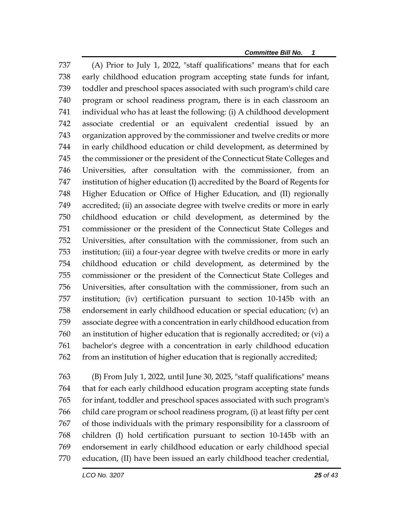(A) Prior to July 1, 2022, "staff qualifications" means that for each early childhood education program accepting state funds for infant, toddler and preschool spaces associated with such program's child care program or school readiness program, there is in each classroom an individual who has at least the following: (i) A childhood development associate credential or an equivalent credential issued by an organization approved by the commissioner and twelve credits or more in early childhood education or child development, as determined by the commissioner or the president of the Connecticut State Colleges and Universities, after consultation with the commissioner, from an institution of higher education (I) accredited by the Board of Regents for Higher Education or Office of Higher Education, and (II) regionally accredited; (ii) an associate degree with twelve credits or more in early childhood education or child development, as determined by the commissioner or the president of the Connecticut State Colleges and Universities, after consultation with the commissioner, from such an institution; (iii) a four-year degree with twelve credits or more in early childhood education or child development, as determined by the commissioner or the president of the Connecticut State Colleges and Universities, after consultation with the commissioner, from such an institution; (iv) certification pursuant to section 10-145b with an endorsement in early childhood education or special education; (v) an associate degree with a concentration in early childhood education from an institution of higher education that is regionally accredited; or (vi) a bachelor's degree with a concentration in early childhood education from an institution of higher education that is regionally accredited;

 (B) From July 1, 2022, until June 30, 2025, "staff qualifications" means that for each early childhood education program accepting state funds for infant, toddler and preschool spaces associated with such program's child care program or school readiness program, (i) at least fifty per cent of those individuals with the primary responsibility for a classroom of children (I) hold certification pursuant to section 10-145b with an endorsement in early childhood education or early childhood special education, (II) have been issued an early childhood teacher credential,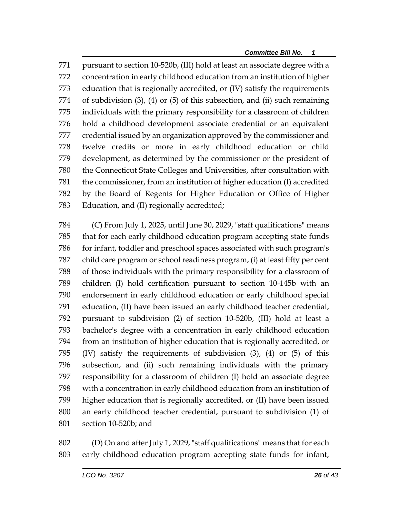pursuant to section 10-520b, (III) hold at least an associate degree with a concentration in early childhood education from an institution of higher education that is regionally accredited, or (IV) satisfy the requirements of subdivision (3), (4) or (5) of this subsection, and (ii) such remaining individuals with the primary responsibility for a classroom of children hold a childhood development associate credential or an equivalent credential issued by an organization approved by the commissioner and twelve credits or more in early childhood education or child development, as determined by the commissioner or the president of the Connecticut State Colleges and Universities, after consultation with the commissioner, from an institution of higher education (I) accredited by the Board of Regents for Higher Education or Office of Higher Education, and (II) regionally accredited;

 (C) From July 1, 2025, until June 30, 2029, "staff qualifications" means that for each early childhood education program accepting state funds for infant, toddler and preschool spaces associated with such program's child care program or school readiness program, (i) at least fifty per cent of those individuals with the primary responsibility for a classroom of children (I) hold certification pursuant to section 10-145b with an endorsement in early childhood education or early childhood special education, (II) have been issued an early childhood teacher credential, pursuant to subdivision (2) of section 10-520b, (III) hold at least a bachelor's degree with a concentration in early childhood education from an institution of higher education that is regionally accredited, or (IV) satisfy the requirements of subdivision (3), (4) or (5) of this subsection, and (ii) such remaining individuals with the primary responsibility for a classroom of children (I) hold an associate degree with a concentration in early childhood education from an institution of higher education that is regionally accredited, or (II) have been issued an early childhood teacher credential, pursuant to subdivision (1) of section 10-520b; and

 (D) On and after July 1, 2029, "staff qualifications" means that for each early childhood education program accepting state funds for infant,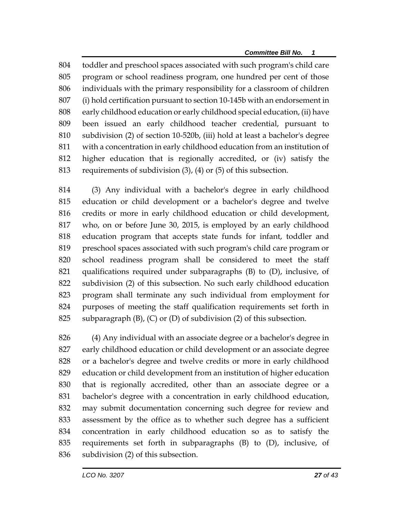toddler and preschool spaces associated with such program's child care program or school readiness program, one hundred per cent of those individuals with the primary responsibility for a classroom of children (i) hold certification pursuant to section 10-145b with an endorsement in early childhood education or early childhood special education, (ii) have been issued an early childhood teacher credential, pursuant to subdivision (2) of section 10-520b, (iii) hold at least a bachelor's degree with a concentration in early childhood education from an institution of higher education that is regionally accredited, or (iv) satisfy the requirements of subdivision (3), (4) or (5) of this subsection.

 (3) Any individual with a bachelor's degree in early childhood education or child development or a bachelor's degree and twelve credits or more in early childhood education or child development, who, on or before June 30, 2015, is employed by an early childhood education program that accepts state funds for infant, toddler and preschool spaces associated with such program's child care program or school readiness program shall be considered to meet the staff qualifications required under subparagraphs (B) to (D), inclusive, of subdivision (2) of this subsection. No such early childhood education program shall terminate any such individual from employment for purposes of meeting the staff qualification requirements set forth in 825 subparagraph  $(B)$ ,  $(C)$  or  $(D)$  of subdivision  $(2)$  of this subsection.

 (4) Any individual with an associate degree or a bachelor's degree in early childhood education or child development or an associate degree or a bachelor's degree and twelve credits or more in early childhood education or child development from an institution of higher education that is regionally accredited, other than an associate degree or a bachelor's degree with a concentration in early childhood education, may submit documentation concerning such degree for review and assessment by the office as to whether such degree has a sufficient concentration in early childhood education so as to satisfy the requirements set forth in subparagraphs (B) to (D), inclusive, of subdivision (2) of this subsection.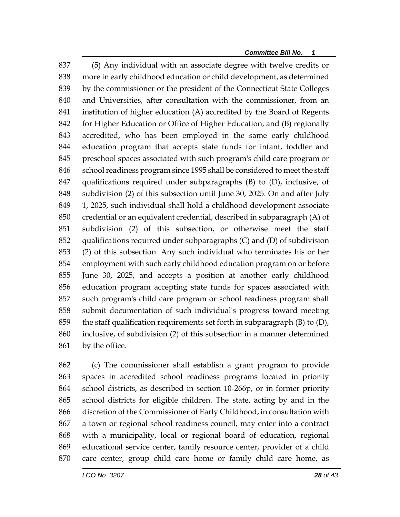(5) Any individual with an associate degree with twelve credits or more in early childhood education or child development, as determined by the commissioner or the president of the Connecticut State Colleges and Universities, after consultation with the commissioner, from an institution of higher education (A) accredited by the Board of Regents for Higher Education or Office of Higher Education, and (B) regionally accredited, who has been employed in the same early childhood education program that accepts state funds for infant, toddler and preschool spaces associated with such program's child care program or 846 school readiness program since 1995 shall be considered to meet the staff qualifications required under subparagraphs (B) to (D), inclusive, of subdivision (2) of this subsection until June 30, 2025. On and after July 1, 2025, such individual shall hold a childhood development associate credential or an equivalent credential, described in subparagraph (A) of subdivision (2) of this subsection, or otherwise meet the staff qualifications required under subparagraphs (C) and (D) of subdivision (2) of this subsection. Any such individual who terminates his or her employment with such early childhood education program on or before June 30, 2025, and accepts a position at another early childhood education program accepting state funds for spaces associated with such program's child care program or school readiness program shall submit documentation of such individual's progress toward meeting the staff qualification requirements set forth in subparagraph (B) to (D), inclusive, of subdivision (2) of this subsection in a manner determined 861 by the office.

 (c) The commissioner shall establish a grant program to provide spaces in accredited school readiness programs located in priority school districts, as described in section 10-266p, or in former priority school districts for eligible children. The state, acting by and in the discretion of the Commissioner of Early Childhood, in consultation with a town or regional school readiness council, may enter into a contract with a municipality, local or regional board of education, regional educational service center, family resource center, provider of a child care center, group child care home or family child care home, as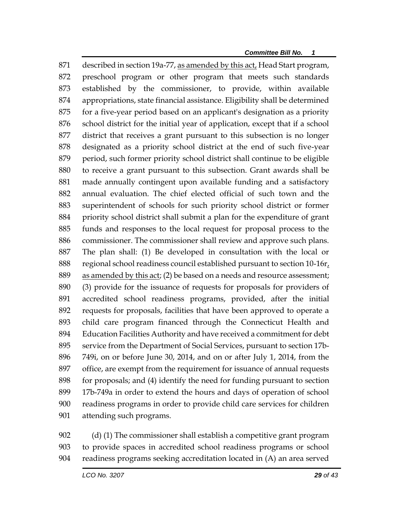described in section 19a-77, as amended by this act, Head Start program, preschool program or other program that meets such standards established by the commissioner, to provide, within available appropriations, state financial assistance. Eligibility shall be determined for a five-year period based on an applicant's designation as a priority school district for the initial year of application, except that if a school district that receives a grant pursuant to this subsection is no longer designated as a priority school district at the end of such five-year period, such former priority school district shall continue to be eligible to receive a grant pursuant to this subsection. Grant awards shall be made annually contingent upon available funding and a satisfactory annual evaluation. The chief elected official of such town and the superintendent of schools for such priority school district or former priority school district shall submit a plan for the expenditure of grant funds and responses to the local request for proposal process to the commissioner. The commissioner shall review and approve such plans. The plan shall: (1) Be developed in consultation with the local or regional school readiness council established pursuant to section 10-16r, as amended by this act; (2) be based on a needs and resource assessment; (3) provide for the issuance of requests for proposals for providers of accredited school readiness programs, provided, after the initial requests for proposals, facilities that have been approved to operate a child care program financed through the Connecticut Health and Education Facilities Authority and have received a commitment for debt service from the Department of Social Services, pursuant to section 17b- 749i, on or before June 30, 2014, and on or after July 1, 2014, from the office, are exempt from the requirement for issuance of annual requests for proposals; and (4) identify the need for funding pursuant to section 17b-749a in order to extend the hours and days of operation of school readiness programs in order to provide child care services for children attending such programs.

 (d) (1) The commissioner shall establish a competitive grant program to provide spaces in accredited school readiness programs or school readiness programs seeking accreditation located in (A) an area served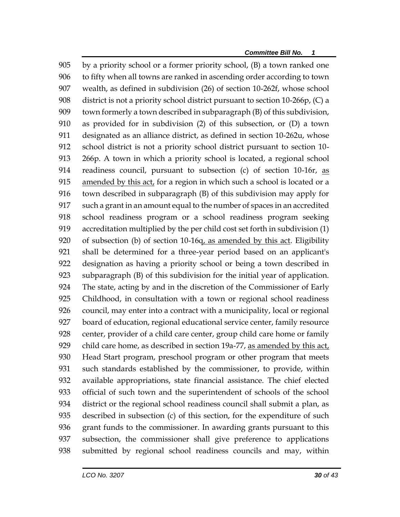by a priority school or a former priority school, (B) a town ranked one to fifty when all towns are ranked in ascending order according to town wealth, as defined in subdivision (26) of section 10-262f, whose school district is not a priority school district pursuant to section 10-266p, (C) a town formerly a town described in subparagraph (B) of this subdivision, as provided for in subdivision (2) of this subsection, or (D) a town designated as an alliance district, as defined in section 10-262u, whose school district is not a priority school district pursuant to section 10- 266p. A town in which a priority school is located, a regional school readiness council, pursuant to subsection (c) of section 10-16r, as 915 amended by this act, for a region in which such a school is located or a town described in subparagraph (B) of this subdivision may apply for such a grant in an amount equal to the number of spaces in an accredited school readiness program or a school readiness program seeking accreditation multiplied by the per child cost set forth in subdivision (1) of subsection (b) of section 10-16q, as amended by this act. Eligibility shall be determined for a three-year period based on an applicant's designation as having a priority school or being a town described in subparagraph (B) of this subdivision for the initial year of application. The state, acting by and in the discretion of the Commissioner of Early Childhood, in consultation with a town or regional school readiness council, may enter into a contract with a municipality, local or regional board of education, regional educational service center, family resource center, provider of a child care center, group child care home or family child care home, as described in section 19a-77, as amended by this act, Head Start program, preschool program or other program that meets such standards established by the commissioner, to provide, within available appropriations, state financial assistance. The chief elected official of such town and the superintendent of schools of the school district or the regional school readiness council shall submit a plan, as described in subsection (c) of this section, for the expenditure of such grant funds to the commissioner. In awarding grants pursuant to this subsection, the commissioner shall give preference to applications submitted by regional school readiness councils and may, within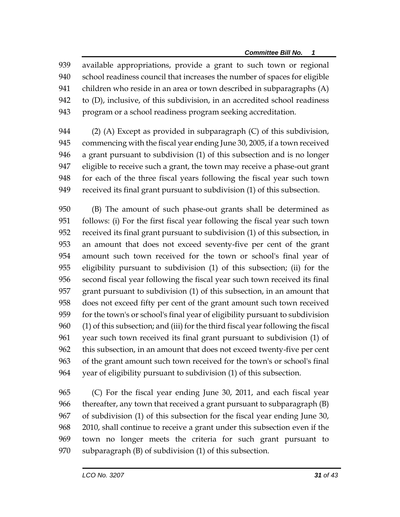available appropriations, provide a grant to such town or regional school readiness council that increases the number of spaces for eligible children who reside in an area or town described in subparagraphs (A) to (D), inclusive, of this subdivision, in an accredited school readiness program or a school readiness program seeking accreditation.

 (2) (A) Except as provided in subparagraph (C) of this subdivision, commencing with the fiscal year ending June 30, 2005, if a town received a grant pursuant to subdivision (1) of this subsection and is no longer eligible to receive such a grant, the town may receive a phase-out grant for each of the three fiscal years following the fiscal year such town received its final grant pursuant to subdivision (1) of this subsection.

 (B) The amount of such phase-out grants shall be determined as follows: (i) For the first fiscal year following the fiscal year such town received its final grant pursuant to subdivision (1) of this subsection, in an amount that does not exceed seventy-five per cent of the grant amount such town received for the town or school's final year of eligibility pursuant to subdivision (1) of this subsection; (ii) for the second fiscal year following the fiscal year such town received its final grant pursuant to subdivision (1) of this subsection, in an amount that does not exceed fifty per cent of the grant amount such town received for the town's or school's final year of eligibility pursuant to subdivision (1) of this subsection; and (iii) for the third fiscal year following the fiscal year such town received its final grant pursuant to subdivision (1) of this subsection, in an amount that does not exceed twenty-five per cent of the grant amount such town received for the town's or school's final year of eligibility pursuant to subdivision (1) of this subsection.

 (C) For the fiscal year ending June 30, 2011, and each fiscal year thereafter, any town that received a grant pursuant to subparagraph (B) of subdivision (1) of this subsection for the fiscal year ending June 30, 2010, shall continue to receive a grant under this subsection even if the town no longer meets the criteria for such grant pursuant to subparagraph (B) of subdivision (1) of this subsection.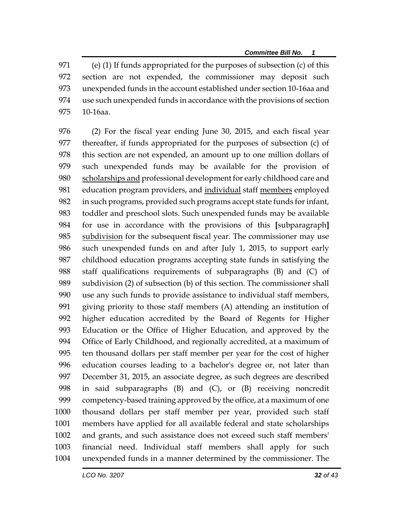(e) (1) If funds appropriated for the purposes of subsection (c) of this section are not expended, the commissioner may deposit such unexpended funds in the account established under section 10-16aa and use such unexpended funds in accordance with the provisions of section 10-16aa.

 (2) For the fiscal year ending June 30, 2015, and each fiscal year thereafter, if funds appropriated for the purposes of subsection (c) of this section are not expended, an amount up to one million dollars of such unexpended funds may be available for the provision of 980 scholarships and professional development for early childhood care and 981 education program providers, and individual staff members employed in such programs, provided such programs accept state funds for infant, toddler and preschool slots. Such unexpended funds may be available for use in accordance with the provisions of this **[**subparagraph**]** 985 subdivision for the subsequent fiscal year. The commissioner may use such unexpended funds on and after July 1, 2015, to support early childhood education programs accepting state funds in satisfying the staff qualifications requirements of subparagraphs (B) and (C) of subdivision (2) of subsection (b) of this section. The commissioner shall use any such funds to provide assistance to individual staff members, giving priority to those staff members (A) attending an institution of higher education accredited by the Board of Regents for Higher Education or the Office of Higher Education, and approved by the Office of Early Childhood, and regionally accredited, at a maximum of ten thousand dollars per staff member per year for the cost of higher education courses leading to a bachelor's degree or, not later than December 31, 2015, an associate degree, as such degrees are described in said subparagraphs (B) and (C), or (B) receiving noncredit competency-based training approved by the office, at a maximum of one thousand dollars per staff member per year, provided such staff members have applied for all available federal and state scholarships and grants, and such assistance does not exceed such staff members' financial need. Individual staff members shall apply for such unexpended funds in a manner determined by the commissioner. The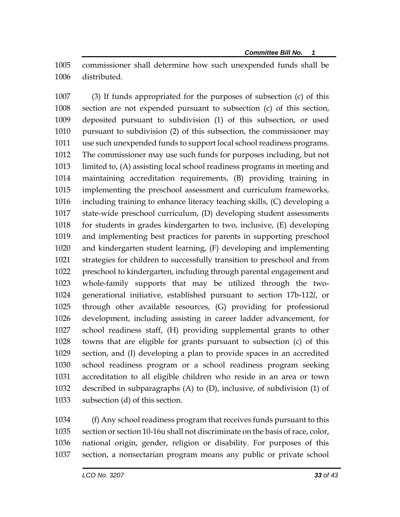commissioner shall determine how such unexpended funds shall be distributed.

 (3) If funds appropriated for the purposes of subsection (c) of this section are not expended pursuant to subsection (c) of this section, deposited pursuant to subdivision (1) of this subsection, or used pursuant to subdivision (2) of this subsection, the commissioner may use such unexpended funds to support local school readiness programs. The commissioner may use such funds for purposes including, but not limited to, (A) assisting local school readiness programs in meeting and maintaining accreditation requirements, (B) providing training in implementing the preschool assessment and curriculum frameworks, including training to enhance literacy teaching skills, (C) developing a state-wide preschool curriculum, (D) developing student assessments for students in grades kindergarten to two, inclusive, (E) developing and implementing best practices for parents in supporting preschool and kindergarten student learning, (F) developing and implementing strategies for children to successfully transition to preschool and from preschool to kindergarten, including through parental engagement and whole-family supports that may be utilized through the two- generational initiative, established pursuant to section 17b-112*l*, or through other available resources, (G) providing for professional development, including assisting in career ladder advancement, for school readiness staff, (H) providing supplemental grants to other towns that are eligible for grants pursuant to subsection (c) of this section, and (I) developing a plan to provide spaces in an accredited school readiness program or a school readiness program seeking accreditation to all eligible children who reside in an area or town described in subparagraphs (A) to (D), inclusive, of subdivision (1) of subsection (d) of this section.

 (f) Any school readiness program that receives funds pursuant to this section or section 10-16u shall not discriminate on the basis of race, color, national origin, gender, religion or disability. For purposes of this section, a nonsectarian program means any public or private school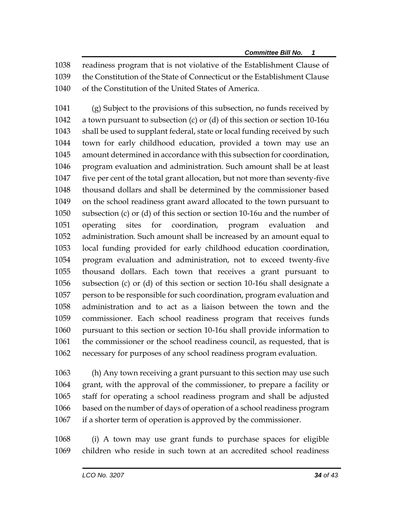readiness program that is not violative of the Establishment Clause of the Constitution of the State of Connecticut or the Establishment Clause of the Constitution of the United States of America.

 (g) Subject to the provisions of this subsection, no funds received by a town pursuant to subsection (c) or (d) of this section or section 10-16u shall be used to supplant federal, state or local funding received by such town for early childhood education, provided a town may use an amount determined in accordance with this subsection for coordination, program evaluation and administration. Such amount shall be at least five per cent of the total grant allocation, but not more than seventy-five thousand dollars and shall be determined by the commissioner based on the school readiness grant award allocated to the town pursuant to subsection (c) or (d) of this section or section 10-16u and the number of operating sites for coordination, program evaluation and administration. Such amount shall be increased by an amount equal to local funding provided for early childhood education coordination, program evaluation and administration, not to exceed twenty-five thousand dollars. Each town that receives a grant pursuant to subsection (c) or (d) of this section or section 10-16u shall designate a person to be responsible for such coordination, program evaluation and administration and to act as a liaison between the town and the commissioner. Each school readiness program that receives funds pursuant to this section or section 10-16u shall provide information to the commissioner or the school readiness council, as requested, that is necessary for purposes of any school readiness program evaluation.

 (h) Any town receiving a grant pursuant to this section may use such grant, with the approval of the commissioner, to prepare a facility or staff for operating a school readiness program and shall be adjusted based on the number of days of operation of a school readiness program if a shorter term of operation is approved by the commissioner.

 (i) A town may use grant funds to purchase spaces for eligible children who reside in such town at an accredited school readiness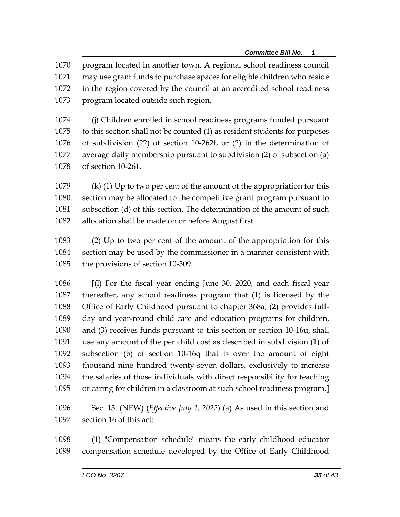program located in another town. A regional school readiness council may use grant funds to purchase spaces for eligible children who reside in the region covered by the council at an accredited school readiness program located outside such region.

 (j) Children enrolled in school readiness programs funded pursuant to this section shall not be counted (1) as resident students for purposes of subdivision (22) of section 10-262f, or (2) in the determination of average daily membership pursuant to subdivision (2) of subsection (a) of section 10-261.

 (k) (1) Up to two per cent of the amount of the appropriation for this section may be allocated to the competitive grant program pursuant to subsection (d) of this section. The determination of the amount of such allocation shall be made on or before August first.

 (2) Up to two per cent of the amount of the appropriation for this section may be used by the commissioner in a manner consistent with the provisions of section 10-509.

 **[**(l) For the fiscal year ending June 30, 2020, and each fiscal year thereafter, any school readiness program that (1) is licensed by the Office of Early Childhood pursuant to chapter 368a, (2) provides full- day and year-round child care and education programs for children, and (3) receives funds pursuant to this section or section 10-16u, shall use any amount of the per child cost as described in subdivision (1) of subsection (b) of section 10-16q that is over the amount of eight thousand nine hundred twenty-seven dollars, exclusively to increase the salaries of those individuals with direct responsibility for teaching or caring for children in a classroom at such school readiness program.**]**

 Sec. 15. (NEW) (*Effective July 1, 2022*) (a) As used in this section and section 16 of this act:

 (1) "Compensation schedule" means the early childhood educator compensation schedule developed by the Office of Early Childhood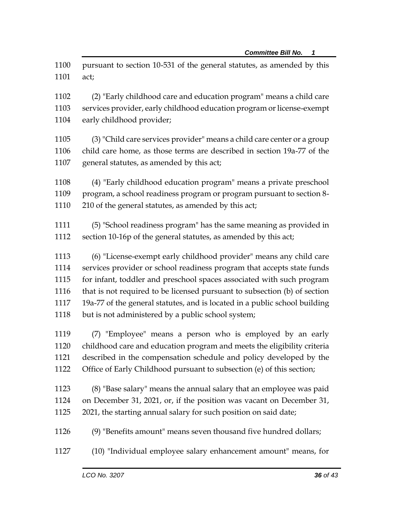pursuant to section 10-531 of the general statutes, as amended by this act;

 (2) "Early childhood care and education program" means a child care services provider, early childhood education program or license-exempt early childhood provider;

 (3) "Child care services provider" means a child care center or a group child care home, as those terms are described in section 19a-77 of the general statutes, as amended by this act;

 (4) "Early childhood education program" means a private preschool program, a school readiness program or program pursuant to section 8- 1110 210 of the general statutes, as amended by this act;

- (5) "School readiness program" has the same meaning as provided in section 10-16p of the general statutes, as amended by this act;
- (6) "License-exempt early childhood provider" means any child care services provider or school readiness program that accepts state funds for infant, toddler and preschool spaces associated with such program that is not required to be licensed pursuant to subsection (b) of section 19a-77 of the general statutes, and is located in a public school building but is not administered by a public school system;

 (7) "Employee" means a person who is employed by an early childhood care and education program and meets the eligibility criteria described in the compensation schedule and policy developed by the Office of Early Childhood pursuant to subsection (e) of this section;

- (8) "Base salary" means the annual salary that an employee was paid on December 31, 2021, or, if the position was vacant on December 31, 2021, the starting annual salary for such position on said date;
- (9) "Benefits amount" means seven thousand five hundred dollars;
- (10) "Individual employee salary enhancement amount" means, for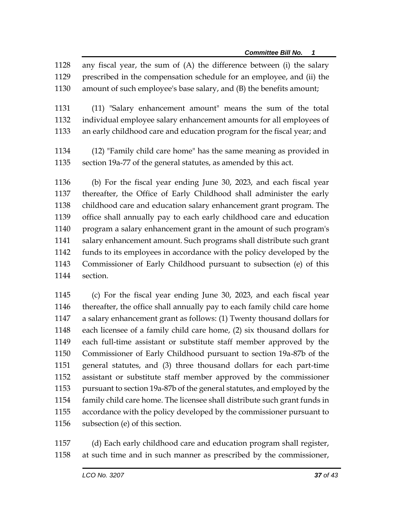any fiscal year, the sum of (A) the difference between (i) the salary prescribed in the compensation schedule for an employee, and (ii) the amount of such employee's base salary, and (B) the benefits amount;

 (11) "Salary enhancement amount" means the sum of the total individual employee salary enhancement amounts for all employees of an early childhood care and education program for the fiscal year; and

 (12) "Family child care home" has the same meaning as provided in section 19a-77 of the general statutes, as amended by this act.

 (b) For the fiscal year ending June 30, 2023, and each fiscal year thereafter, the Office of Early Childhood shall administer the early childhood care and education salary enhancement grant program. The office shall annually pay to each early childhood care and education program a salary enhancement grant in the amount of such program's salary enhancement amount. Such programs shall distribute such grant funds to its employees in accordance with the policy developed by the Commissioner of Early Childhood pursuant to subsection (e) of this section.

 (c) For the fiscal year ending June 30, 2023, and each fiscal year thereafter, the office shall annually pay to each family child care home a salary enhancement grant as follows: (1) Twenty thousand dollars for each licensee of a family child care home, (2) six thousand dollars for each full-time assistant or substitute staff member approved by the Commissioner of Early Childhood pursuant to section 19a-87b of the general statutes, and (3) three thousand dollars for each part-time assistant or substitute staff member approved by the commissioner pursuant to section 19a-87b of the general statutes, and employed by the family child care home. The licensee shall distribute such grant funds in accordance with the policy developed by the commissioner pursuant to subsection (e) of this section.

 (d) Each early childhood care and education program shall register, at such time and in such manner as prescribed by the commissioner,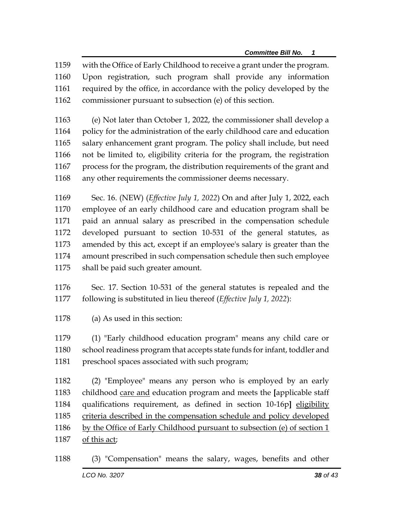with the Office of Early Childhood to receive a grant under the program. Upon registration, such program shall provide any information required by the office, in accordance with the policy developed by the commissioner pursuant to subsection (e) of this section.

 (e) Not later than October 1, 2022, the commissioner shall develop a policy for the administration of the early childhood care and education salary enhancement grant program. The policy shall include, but need not be limited to, eligibility criteria for the program, the registration process for the program, the distribution requirements of the grant and any other requirements the commissioner deems necessary.

 Sec. 16. (NEW) (*Effective July 1, 2022*) On and after July 1, 2022, each employee of an early childhood care and education program shall be paid an annual salary as prescribed in the compensation schedule developed pursuant to section 10-531 of the general statutes, as amended by this act, except if an employee's salary is greater than the amount prescribed in such compensation schedule then such employee shall be paid such greater amount.

 Sec. 17. Section 10-531 of the general statutes is repealed and the following is substituted in lieu thereof (*Effective July 1, 2022*):

(a) As used in this section:

 (1) "Early childhood education program" means any child care or school readiness program that accepts state funds for infant, toddler and preschool spaces associated with such program;

 (2) "Employee" means any person who is employed by an early childhood care and education program and meets the **[**applicable staff qualifications requirement, as defined in section 10-16p**]** eligibility 1185 criteria described in the compensation schedule and policy developed by the Office of Early Childhood pursuant to subsection (e) of section 1 of this act;

*LCO No. 3207**38 of 43* (3) "Compensation" means the salary, wages, benefits and other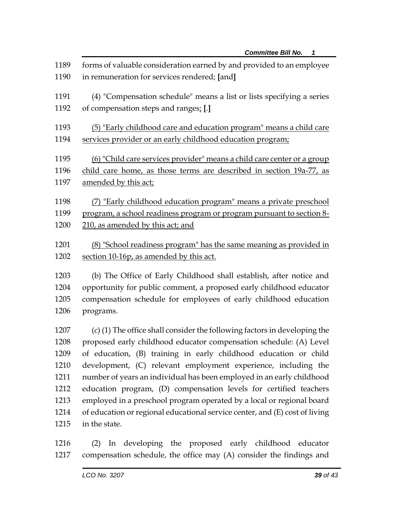| 1189<br>1190 | forms of valuable consideration earned by and provided to an employee<br>in remuneration for services rendered; [and]                      |  |  |
|--------------|--------------------------------------------------------------------------------------------------------------------------------------------|--|--|
| 1191<br>1192 | (4) "Compensation schedule" means a list or lists specifying a series<br>of compensation steps and ranges; [.]                             |  |  |
| 1193         | (5) "Early childhood care and education program" means a child care                                                                        |  |  |
| 1194         | services provider or an early childhood education program;                                                                                 |  |  |
| 1195         | (6) "Child care services provider" means a child care center or a group                                                                    |  |  |
| 1196         | child care home, as those terms are described in section 19a-77, as                                                                        |  |  |
| 1197         | amended by this act;                                                                                                                       |  |  |
| 1198<br>1199 | (7) "Early childhood education program" means a private preschool<br>program, a school readiness program or program pursuant to section 8- |  |  |
| 1200         | 210, as amended by this act; and                                                                                                           |  |  |
| 1201<br>1202 | (8) "School readiness program" has the same meaning as provided in<br>section 10-16p, as amended by this act.                              |  |  |

 (b) The Office of Early Childhood shall establish, after notice and opportunity for public comment, a proposed early childhood educator compensation schedule for employees of early childhood education programs.

 (c) (1) The office shall consider the following factors in developing the proposed early childhood educator compensation schedule: (A) Level of education, (B) training in early childhood education or child development, (C) relevant employment experience, including the number of years an individual has been employed in an early childhood education program, (D) compensation levels for certified teachers employed in a preschool program operated by a local or regional board of education or regional educational service center, and (E) cost of living in the state.

 (2) In developing the proposed early childhood educator compensation schedule, the office may (A) consider the findings and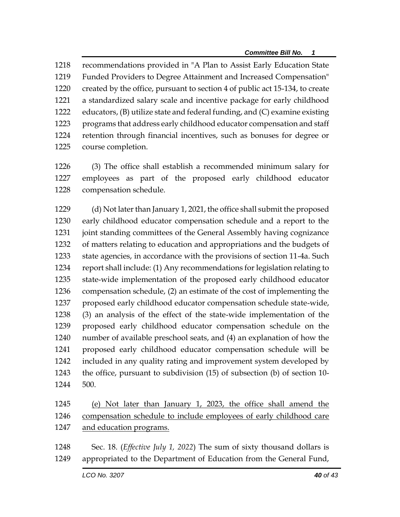recommendations provided in "A Plan to Assist Early Education State Funded Providers to Degree Attainment and Increased Compensation" created by the office, pursuant to section 4 of public act 15-134, to create a standardized salary scale and incentive package for early childhood educators, (B) utilize state and federal funding, and (C) examine existing programs that address early childhood educator compensation and staff retention through financial incentives, such as bonuses for degree or course completion.

 (3) The office shall establish a recommended minimum salary for employees as part of the proposed early childhood educator compensation schedule.

 (d) Not later than January 1, 2021, the office shall submit the proposed early childhood educator compensation schedule and a report to the joint standing committees of the General Assembly having cognizance of matters relating to education and appropriations and the budgets of state agencies, in accordance with the provisions of section 11-4a. Such report shall include: (1) Any recommendations for legislation relating to state-wide implementation of the proposed early childhood educator compensation schedule, (2) an estimate of the cost of implementing the proposed early childhood educator compensation schedule state-wide, (3) an analysis of the effect of the state-wide implementation of the proposed early childhood educator compensation schedule on the number of available preschool seats, and (4) an explanation of how the proposed early childhood educator compensation schedule will be included in any quality rating and improvement system developed by the office, pursuant to subdivision (15) of subsection (b) of section 10- 500.

- (e) Not later than January 1, 2023, the office shall amend the compensation schedule to include employees of early childhood care and education programs.
- Sec. 18. (*Effective July 1, 2022*) The sum of sixty thousand dollars is appropriated to the Department of Education from the General Fund,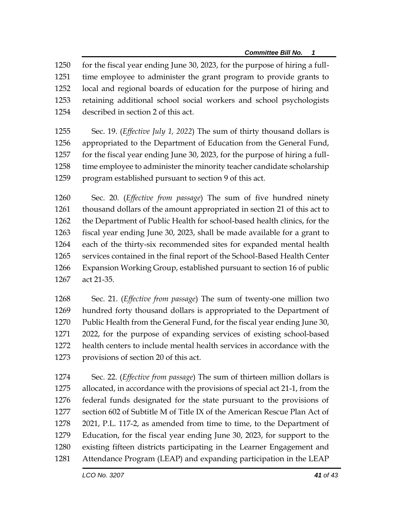for the fiscal year ending June 30, 2023, for the purpose of hiring a full- time employee to administer the grant program to provide grants to local and regional boards of education for the purpose of hiring and retaining additional school social workers and school psychologists described in section 2 of this act.

 Sec. 19. (*Effective July 1, 2022*) The sum of thirty thousand dollars is appropriated to the Department of Education from the General Fund, for the fiscal year ending June 30, 2023, for the purpose of hiring a full-1258 time employee to administer the minority teacher candidate scholarship program established pursuant to section 9 of this act.

 Sec. 20. (*Effective from passage*) The sum of five hundred ninety thousand dollars of the amount appropriated in section 21 of this act to the Department of Public Health for school-based health clinics, for the fiscal year ending June 30, 2023, shall be made available for a grant to each of the thirty-six recommended sites for expanded mental health services contained in the final report of the School-Based Health Center Expansion Working Group, established pursuant to section 16 of public act 21-35.

 Sec. 21. (*Effective from passage*) The sum of twenty-one million two hundred forty thousand dollars is appropriated to the Department of Public Health from the General Fund, for the fiscal year ending June 30, 2022, for the purpose of expanding services of existing school-based health centers to include mental health services in accordance with the provisions of section 20 of this act.

 Sec. 22. (*Effective from passage*) The sum of thirteen million dollars is allocated, in accordance with the provisions of special act 21-1, from the federal funds designated for the state pursuant to the provisions of section 602 of Subtitle M of Title IX of the American Rescue Plan Act of 2021, P.L. 117-2, as amended from time to time, to the Department of Education, for the fiscal year ending June 30, 2023, for support to the existing fifteen districts participating in the Learner Engagement and Attendance Program (LEAP) and expanding participation in the LEAP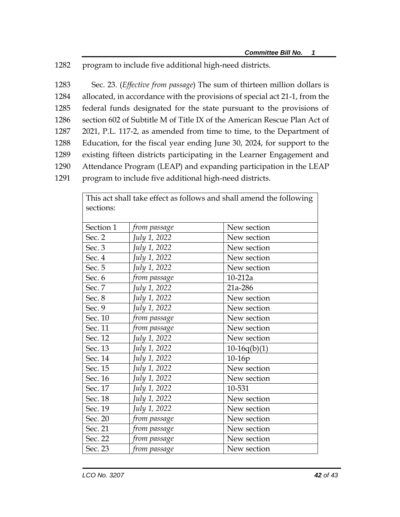1282 program to include five additional high-need districts.

 Sec. 23. (*Effective from passage*) The sum of thirteen million dollars is allocated, in accordance with the provisions of special act 21-1, from the federal funds designated for the state pursuant to the provisions of section 602 of Subtitle M of Title IX of the American Rescue Plan Act of 2021, P.L. 117-2, as amended from time to time, to the Department of Education, for the fiscal year ending June 30, 2024, for support to the existing fifteen districts participating in the Learner Engagement and Attendance Program (LEAP) and expanding participation in the LEAP

1291 program to include five additional high-need districts.

|           |                     | This act shall take effect as follows and shall amend the following |
|-----------|---------------------|---------------------------------------------------------------------|
| sections: |                     |                                                                     |
|           |                     |                                                                     |
| Section 1 | from passage        | New section                                                         |
| Sec. 2    | July 1, 2022        | New section                                                         |
| Sec. 3    | July 1, 2022        | New section                                                         |
| Sec. 4    | July 1, 2022        | New section                                                         |
| Sec. 5    | July 1, 2022        | New section                                                         |
| Sec. 6    | from passage        | $10-212a$                                                           |
| Sec. 7    | July 1, 2022        | 21a-286                                                             |
| Sec. 8    | July 1, 2022        | New section                                                         |
| Sec. 9    | July 1, 2022        | New section                                                         |
| Sec. 10   | from passage        | New section                                                         |
| Sec. 11   | from passage        | New section                                                         |
| Sec. 12   | July 1, 2022        | New section                                                         |
| Sec. 13   | July 1, 2022        | $10-16q(b)(1)$                                                      |
| Sec. 14   | <i>July 1, 2022</i> | 10-16p                                                              |
| Sec. 15   | July 1, 2022        | New section                                                         |
| Sec. 16   | July 1, 2022        | New section                                                         |
| Sec. 17   | July 1, 2022        | 10-531                                                              |
| Sec. 18   | July 1, 2022        | New section                                                         |
| Sec. 19   | July 1, 2022        | New section                                                         |
| Sec. 20   | from passage        | New section                                                         |
| Sec. 21   | from passage        | New section                                                         |
| Sec. 22   | from passage        | New section                                                         |
| Sec. 23   | from passage        | New section                                                         |